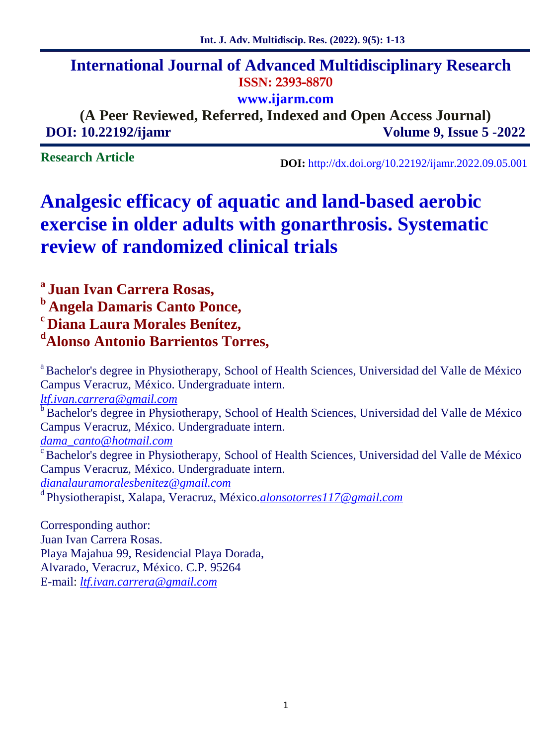## **International Journal of Advanced Multidisciplinary Research ISSN: 2393-8870**

**www.ijarm.com**

**(A Peer Reviewed, Referred, Indexed and Open Access Journal) DOI: 10.22192/ijamr Volume 9, Issue 5 -2022**

**Research Article**

**DOI:** http://dx.doi.org/10.22192/ijamr.2022.09.05.001

# **Analgesic efficacy of aquatic and land-based aerobic exercise in older adults with gonarthrosis. Systematic review of randomized clinical trials**

**<sup>a</sup> Juan Ivan Carrera Rosas, <sup>b</sup> Angela Damaris Canto Ponce, <sup>c</sup> Diana Laura Morales Benítez, <sup>d</sup>Alonso Antonio Barrientos Torres,**

<sup>a</sup> Bachelor's degree in Physiotherapy, School of Health Sciences, Universidad del Valle de México Campus Veracruz, México. Undergraduate intern. *ltf.ivan.carrera@gmail.com* <sup>b</sup> Bachelor's degree in Physiotherapy, School of Health Sciences, Universidad del Valle de México Campus Veracruz, México. Undergraduate intern. *dama\_canto@hotmail.com* <sup>c</sup> Bachelor's degree in Physiotherapy, School of Health Sciences, Universidad del Valle de México Campus Veracruz, México. Undergraduate intern. *dianalauramoralesbenitez@gmail.com* <sup>d</sup> Physiotherapist, Xalapa, Veracruz, México.*alonsotorres117@gmail.com*

Corresponding author: Juan Ivan Carrera Rosas. Playa Majahua 99, Residencial Playa Dorada, Alvarado, Veracruz, México. C.P. 95264 E-mail: *ltf.ivan.carrera@gmail.com*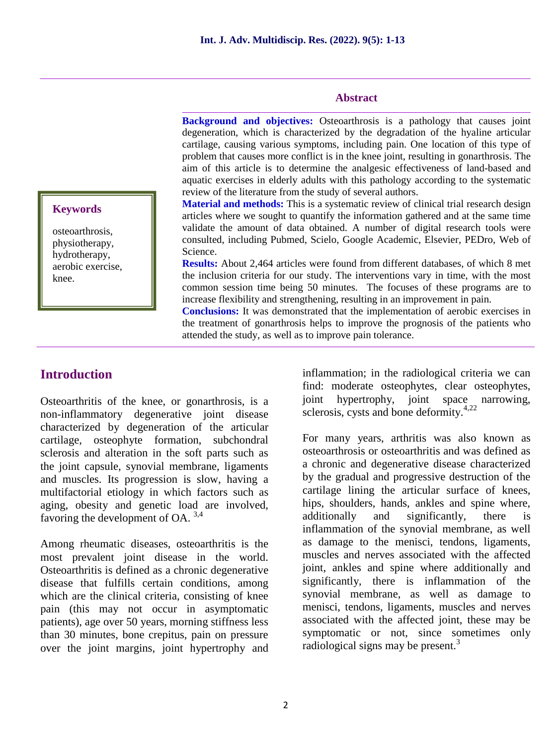#### **Abstract**

**Background and objectives:** Osteoarthrosis is a pathology that causes joint degeneration, which is characterized by the degradation of the hyaline articular cartilage, causing various symptoms, including pain. One location of this type of problem that causes more conflict is in the knee joint, resulting in gonarthrosis. The aim of this article is to determine the analgesic effectiveness of land-based and aquatic exercises in elderly adults with this pathology according to the systematic review of the literature from the study of several authors.

**Material and methods:** This is a systematic review of clinical trial research design articles where we sought to quantify the information gathered and at the same time validate the amount of data obtained. A number of digital research tools were consulted, including Pubmed, Scielo, Google Academic, Elsevier, PEDro, Web of Science.

**Results:** About 2,464 articles were found from different databases, of which 8 met the inclusion criteria for our study. The interventions vary in time, with the most common session time being 50 minutes. The focuses of these programs are to increase flexibility and strengthening, resulting in an improvement in pain.

**Conclusions:** It was demonstrated that the implementation of aerobic exercises in the treatment of gonarthrosis helps to improve the prognosis of the patients who attended the study, as well as to improve pain tolerance.

# **Keywords**

osteoarthrosis, physiotherapy, hydrotherapy, aerobic exercise, knee.

#### **Introduction**

Osteoarthritis of the knee, or gonarthrosis, is a non-inflammatory degenerative joint disease characterized by degeneration of the articular cartilage, osteophyte formation, subchondral sclerosis and alteration in the soft parts such as the joint capsule, synovial membrane, ligaments and muscles. Its progression is slow, having a multifactorial etiology in which factors such as aging, obesity and genetic load are involved, favoring the development of OA. 3,4

Among rheumatic diseases, osteoarthritis is the most prevalent joint disease in the world. Osteoarthritis is defined as a chronic degenerative disease that fulfills certain conditions, among which are the clinical criteria, consisting of knee pain (this may not occur in asymptomatic patients), age over 50 years, morning stiffness less than 30 minutes, bone crepitus, pain on pressure over the joint margins, joint hypertrophy and

inflammation; in the radiological criteria we can find: moderate osteophytes, clear osteophytes, hypertrophy, joint space narrowing, sclerosis, cysts and bone deformity.4,22

For many years, arthritis was also known as osteoarthrosis or osteoarthritis and was defined as a chronic and degenerative disease characterized by the gradual and progressive destruction of the cartilage lining the articular surface of knees, hips, shoulders, hands, ankles and spine where, additionally and significantly, there is inflammation of the synovial membrane, as well as damage to the menisci, tendons, ligaments, muscles and nerves associated with the affected joint, ankles and spine where additionally and significantly, there is inflammation of the synovial membrane, as well as damage to menisci, tendons, ligaments, muscles and nerves associated with the affected joint, these may be symptomatic or not, since sometimes only radiological signs may be present.<sup>3</sup>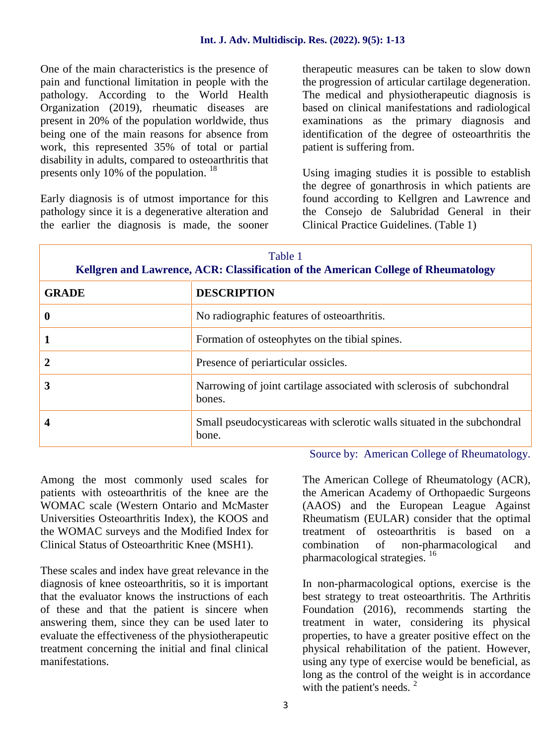One of the main characteristics is the presence of pain and functional limitation in people with the pathology. According to the World Health Organization (2019), rheumatic diseases are present in 20% of the population worldwide, thus being one of the main reasons for absence from work, this represented 35% of total or partial disability in adults, compared to osteoarthritis that presents only 10% of the population. <sup>18</sup>

Early diagnosis is of utmost importance for this pathology since it is a degenerative alteration and the earlier the diagnosis is made, the sooner therapeutic measures can be taken to slow down the progression of articular cartilage degeneration. The medical and physiotherapeutic diagnosis is based on clinical manifestations and radiological examinations as the primary diagnosis and identification of the degree of osteoarthritis the patient is suffering from.

Using imaging studies it is possible to establish the degree of gonarthrosis in which patients are found according to Kellgren and Lawrence and the Consejo de Salubridad General in their Clinical Practice Guidelines. (Table 1)

| Table 1<br>Kellgren and Lawrence, ACR: Classification of the American College of Rheumatology |                                                                                   |  |  |
|-----------------------------------------------------------------------------------------------|-----------------------------------------------------------------------------------|--|--|
| <b>GRADE</b>                                                                                  | <b>DESCRIPTION</b>                                                                |  |  |
| $\boldsymbol{0}$                                                                              | No radiographic features of osteoarthritis.                                       |  |  |
|                                                                                               | Formation of osteophytes on the tibial spines.                                    |  |  |
| $\mathbf{2}$                                                                                  | Presence of periarticular ossicles.                                               |  |  |
| 3                                                                                             | Narrowing of joint cartilage associated with sclerosis of subchondral<br>bones.   |  |  |
| 4                                                                                             | Small pseudocysticareas with sclerotic walls situated in the subchondral<br>bone. |  |  |

Among the most commonly used scales for patients with osteoarthritis of the knee are the WOMAC scale (Western Ontario and McMaster Universities Osteoarthritis Index), the KOOS and the WOMAC surveys and the Modified Index for Clinical Status of Osteoarthritic Knee (MSH1).

These scales and index have great relevance in the diagnosis of knee osteoarthritis, so it is important that the evaluator knows the instructions of each of these and that the patient is sincere when answering them, since they can be used later to evaluate the effectiveness of the physiotherapeutic treatment concerning the initial and final clinical manifestations.

Source by: American College of Rheumatology.

The American College of Rheumatology (ACR), the American Academy of Orthopaedic Surgeons (AAOS) and the European League Against Rheumatism (EULAR) consider that the optimal treatment of osteoarthritis is based on a combination of non-pharmacological and pharmacological strategies. <sup>16</sup>

In non-pharmacological options, exercise is the best strategy to treat osteoarthritis. The Arthritis Foundation (2016), recommends starting the treatment in water, considering its physical properties, to have a greater positive effect on the physical rehabilitation of the patient. However, using any type of exercise would be beneficial, as long as the control of the weight is in accordance with the patient's needs.  $2^{\circ}$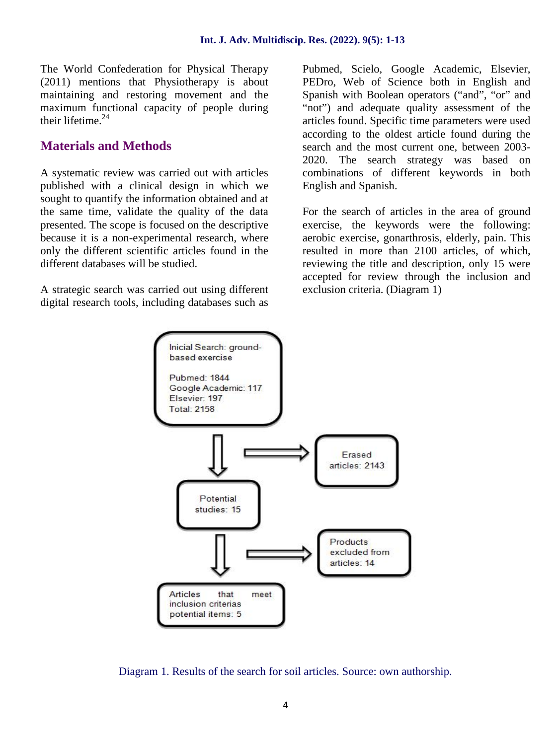The World Confederation for Physical Therapy (2011) mentions that Physiotherapy is about maintaining and restoring movement and the maximum functional capacity of people during their lifetime.<sup>24</sup>

#### **Materials and Methods**

A systematic review was carried out with articles published with a clinical design in which we sought to quantify the information obtained and at the same time, validate the quality of the data presented. The scope is focused on the descriptive because it is a non-experimental research, where only the different scientific articles found in the different databases will be studied.

A strategic search was carried out using different digital research tools, including databases such as Pubmed, Scielo, Google Academic, Elsevier, PEDro, Web of Science both in English and Spanish with Boolean operators ("and", "or" and "not") and adequate quality assessment of the articles found. Specific time parameters were used according to the oldest article found during the search and the most current one, between 2003- 2020. The search strategy was based on combinations of different keywords in both English and Spanish.

For the search of articles in the area of ground exercise, the keywords were the following: aerobic exercise, gonarthrosis, elderly, pain. This resulted in more than 2100 articles, of which, reviewing the title and description, only 15 were accepted for review through the inclusion and exclusion criteria. (Diagram 1)



Diagram 1. Results of the search for soil articles. Source: own authorship.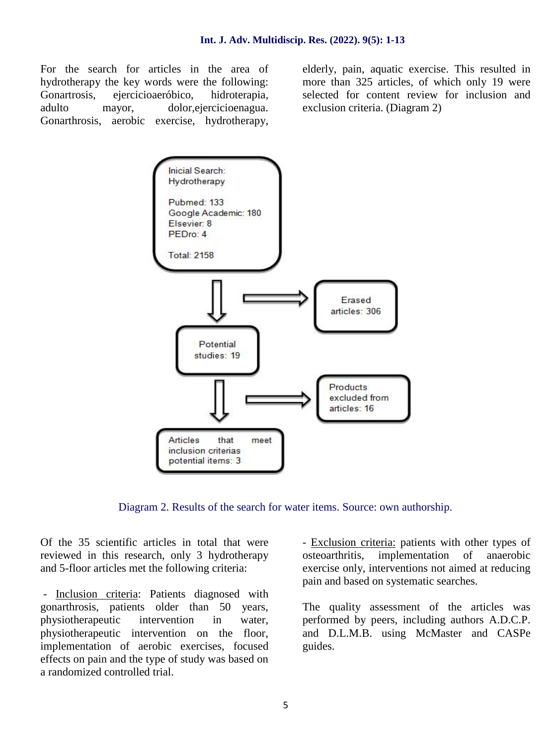For the search for articles in the area of hydrotherapy the key words were the following: Gonartrosis, ejercicioaeróbico, hidroterapia, adulto mayor, dolor,ejercicioenagua. Gonarthrosis, aerobic exercise, hydrotherapy, elderly, pain, aquatic exercise. This resulted in more than 325 articles, of which only 19 were selected for content review for inclusion and exclusion criteria. (Diagram 2)



Diagram 2. Results of the search for water items. Source: own authorship.

Of the 35 scientific articles in total that were reviewed in this research, only 3 hydrotherapy osteoarthritis, and 5-floor articles met the following criteria:

- Inclusion criteria: Patients diagnosed with gonarthrosis, patients older than 50 years, physiotherapeutic intervention in water, physiotherapeutic intervention on the floor, implementation of aerobic exercises, focused effects on pain and the type of study was based on a randomized controlled trial.

- Exclusion criteria: patients with other types of implementation of anaerobic exercise only, interventions not aimed at reducing pain and based on systematic searches.

The quality assessment of the articles was performed by peers, including authors A.D.C.P. and D.L.M.B. using McMaster and CASPe guides.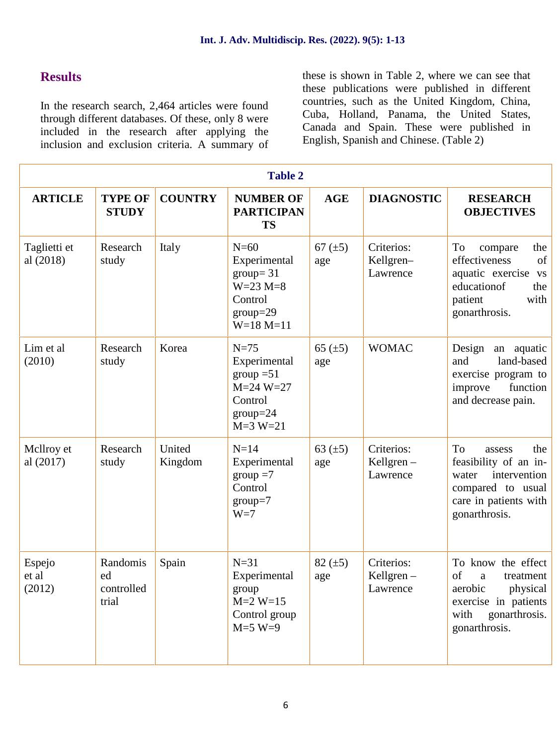#### **Results**

In the research search, 2,464 articles were found through different databases. Of these, only 8 were included in the research after applying the inclusion and exclusion criteria. A summary of these is shown in Table 2, where we can see that these publications were published in different countries, such as the United Kingdom, China, Cuba, Holland, Panama, the United States, Canada and Spain. These were published in English, Spanish and Chinese. (Table 2)

| <b>Table 2</b>            |                                       |                   |                                                                                                 |                     |                                        |                                                                                                                                             |
|---------------------------|---------------------------------------|-------------------|-------------------------------------------------------------------------------------------------|---------------------|----------------------------------------|---------------------------------------------------------------------------------------------------------------------------------------------|
| <b>ARTICLE</b>            | <b>TYPE OF</b><br><b>STUDY</b>        | <b>COUNTRY</b>    | <b>NUMBER OF</b><br><b>PARTICIPAN</b><br><b>TS</b>                                              | <b>AGE</b>          | <b>DIAGNOSTIC</b>                      | <b>RESEARCH</b><br><b>OBJECTIVES</b>                                                                                                        |
| Taglietti et<br>al (2018) | Research<br>study                     | Italy             | $N=60$<br>Experimental<br>$group = 31$<br>$W=23 M=8$<br>Control<br>$group=29$<br>$W=18 M=11$    | 67 $(\pm 5)$<br>age | Criterios:<br>Kellgren-<br>Lawrence    | To<br>the<br>compare<br>effectiveness<br>of<br>aquatic exercise vs<br>educationof<br>the<br>with<br>patient<br>gonarthrosis.                |
| Lim et al<br>(2010)       | Research<br>study                     | Korea             | $N=75$<br>Experimental<br>group $=51$<br>$M = 24 W = 27$<br>Control<br>$group=24$<br>$M=3 W=21$ | 65 $(\pm 5)$<br>age | <b>WOMAC</b>                           | Design<br>an aquatic<br>land-based<br>and<br>exercise program to<br>improve<br>function<br>and decrease pain.                               |
| Mcllroy et<br>al (2017)   | Research<br>study                     | United<br>Kingdom | $N=14$<br>Experimental<br>$\text{group} = 7$<br>Control<br>$group=7$<br>$W=7$                   | 63 $(\pm 5)$<br>age | Criterios:<br>Kellgren $-$<br>Lawrence | <b>To</b><br>the<br>assess<br>feasibility of an in-<br>intervention<br>water<br>compared to usual<br>care in patients with<br>gonarthrosis. |
| Espejo<br>et al<br>(2012) | Randomis<br>ed<br>controlled<br>trial | Spain             | $N=31$<br>Experimental<br>group<br>$M=2 W=15$<br>Control group<br>$M=5$ W=9                     | 82 $(\pm 5)$<br>age | Criterios:<br>Kellgren $-$<br>Lawrence | To know the effect<br>of<br>treatment<br>a<br>aerobic<br>physical<br>exercise in patients<br>gonarthrosis.<br>with<br>gonarthrosis.         |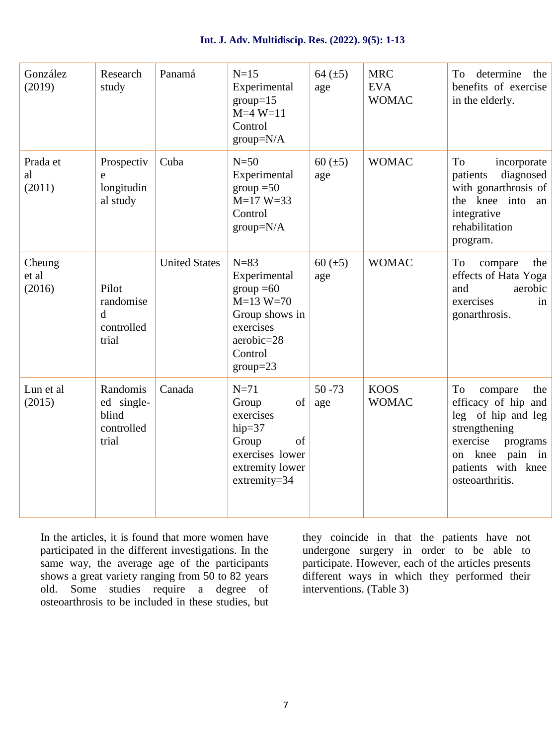| Int. J. Adv. Multidiscip. Res. (2022). 9(5): 1-13 |  |
|---------------------------------------------------|--|
|---------------------------------------------------|--|

| González<br>(2019)        | Research<br>study                                        | Panamá               | $N=15$<br>Experimental<br>$group=15$<br>$M=4 W=11$<br>Control<br>$group=N/A$                                                       | 64 $(\pm 5)$<br>age | <b>MRC</b><br><b>EVA</b><br><b>WOMAC</b> | To determine the<br>benefits of exercise<br>in the elderly.                                                                                                               |
|---------------------------|----------------------------------------------------------|----------------------|------------------------------------------------------------------------------------------------------------------------------------|---------------------|------------------------------------------|---------------------------------------------------------------------------------------------------------------------------------------------------------------------------|
| Prada et<br>al<br>(2011)  | Prospectiv<br>e<br>longitudin<br>al study                | Cuba                 | $N=50$<br>Experimental<br>$group = 50$<br>$M=17 W=33$<br>Control<br>$group=N/A$                                                    | 60 $(\pm 5)$<br>age | <b>WOMAC</b>                             | To<br>incorporate<br>diagnosed<br>patients<br>with gonarthrosis of<br>the knee into an<br>integrative<br>rehabilitation<br>program.                                       |
| Cheung<br>et al<br>(2016) | Pilot<br>randomise<br>$\mathbf d$<br>controlled<br>trial | <b>United States</b> | $N=83$<br>Experimental<br>$\text{group} = 60$<br>$M=13 W=70$<br>Group shows in<br>exercises<br>aerobic=28<br>Control<br>$group=23$ | 60 $(\pm 5)$<br>age | <b>WOMAC</b>                             | To<br>compare<br>the<br>effects of Hata Yoga<br>and<br>aerobic<br>exercises<br>in<br>gonarthrosis.                                                                        |
| Lun et al<br>(2015)       | Randomis<br>ed single-<br>blind<br>controlled<br>trial   | Canada               | $N=71$<br>of<br>Group<br>exercises<br>hip= $37$<br>Group<br>of<br>exercises lower<br>extremity lower<br>extremity=34               | $50 - 73$<br>age    | <b>KOOS</b><br><b>WOMAC</b>              | To<br>compare<br>the<br>efficacy of hip and<br>leg of hip and leg<br>strengthening<br>exercise<br>programs<br>knee pain in<br>on<br>patients with knee<br>osteoarthritis. |

In the articles, it is found that more women have participated in the different investigations. In the same way, the average age of the participants shows a great variety ranging from 50 to 82 years old. Some studies require a degree of osteoarthrosis to be included in these studies, but

they coincide in that the patients have not undergone surgery in order to be able to participate. However, each of the articles presents different ways in which they performed their interventions. (Table 3)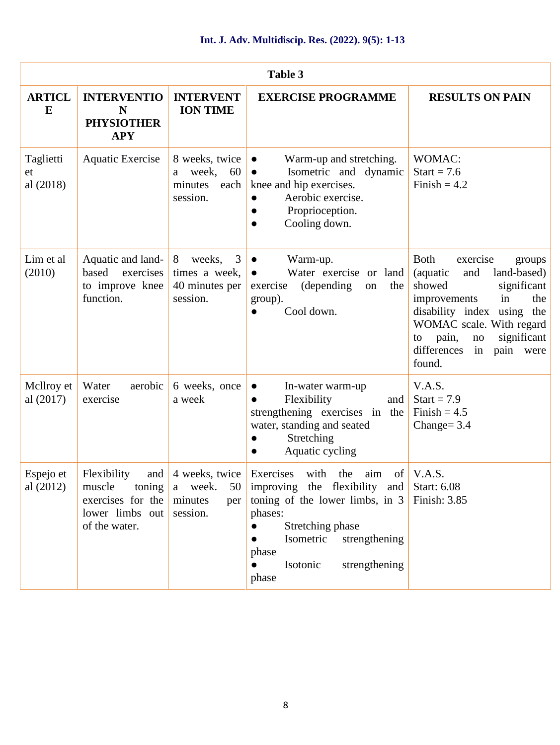| Table 3                      |                                                                                                         |                                                                   |                                                                                                                                                                                                                                          |                                                                                                                                                                                                                                                              |  |
|------------------------------|---------------------------------------------------------------------------------------------------------|-------------------------------------------------------------------|------------------------------------------------------------------------------------------------------------------------------------------------------------------------------------------------------------------------------------------|--------------------------------------------------------------------------------------------------------------------------------------------------------------------------------------------------------------------------------------------------------------|--|
| <b>ARTICL</b><br>E           | <b>INTERVENTIO</b><br>N<br><b>PHYSIOTHER</b><br><b>APY</b>                                              | <b>INTERVENT</b><br><b>ION TIME</b>                               | <b>EXERCISE PROGRAMME</b>                                                                                                                                                                                                                | <b>RESULTS ON PAIN</b>                                                                                                                                                                                                                                       |  |
| Taglietti<br>et<br>al (2018) | <b>Aquatic Exercise</b>                                                                                 | 8 weeks, twice<br>week,<br>60<br>a<br>minutes<br>each<br>session. | Warm-up and stretching.<br>Isometric and dynamic<br>knee and hip exercises.<br>Aerobic exercise.<br>Proprioception.<br>Cooling down.                                                                                                     | WOMAC:<br>Start = $7.6$<br>Finish = $4.2$                                                                                                                                                                                                                    |  |
| Lim et al<br>(2010)          | Aquatic and land-<br>based<br>exercises<br>to improve knee<br>function.                                 | 8<br>weeks, 3<br>times a week,<br>40 minutes per<br>session.      | Warm-up.<br>Water exercise or land<br>(depending)<br>exercise<br>the<br>on<br>group).<br>Cool down.                                                                                                                                      | Both<br>exercise<br>groups<br>and<br>land-based)<br>(aquatic<br>showed<br>significant<br>improvements<br>in<br>the<br>disability index using the<br>WOMAC scale. With regard<br>significant<br>pain,<br>no<br>to<br>differences<br>pain were<br>in<br>found. |  |
| Mellroy et<br>al $(2017)$    | Water<br>aerobic<br>exercise                                                                            | 6 weeks, once<br>a week                                           | In-water warm-up<br>Flexibility<br>and<br>strengthening exercises in the<br>water, standing and seated<br>Stretching<br>Aquatic cycling                                                                                                  | V.A.S.<br>Start = $7.9$<br>Finish = $4.5$<br>Change= $3.4$                                                                                                                                                                                                   |  |
| Espejo et<br>al (2012)       | Flexibility<br>and $\vert$<br>muscle<br>toning<br>exercises for the<br>lower limbs out<br>of the water. | a week.<br>50<br>minutes<br>per<br>session.                       | 4 weeks, twice Exercises with the<br>aim<br>improving the flexibility and Start: $6.08$<br>toning of the lower limbs, in $3$<br>phases:<br>Stretching phase<br>Isometric<br>strengthening<br>phase<br>Isotonic<br>strengthening<br>phase | of $V.A.S.$<br>Finish: 3.85                                                                                                                                                                                                                                  |  |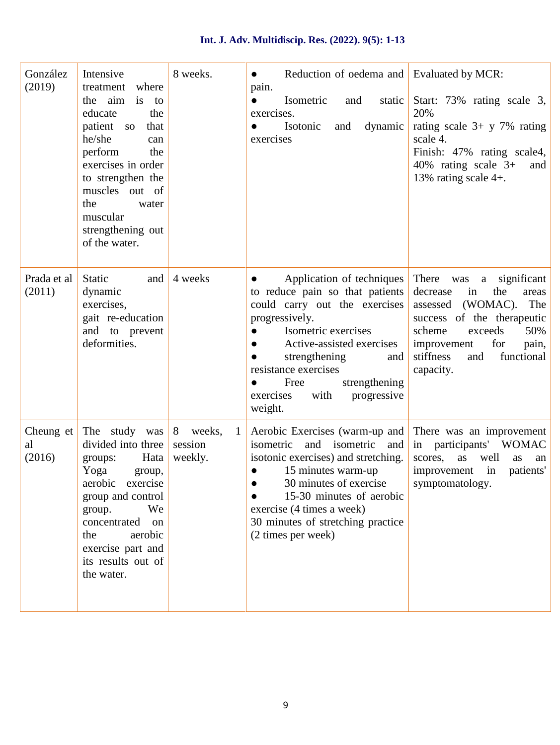#### **Int. J. Adv. Multidiscip. Res. (2022). 9(5): 1-13**

| González<br>(2019)        | Intensive<br>where<br>treatment<br>the aim<br>is<br>to<br>educate<br>the<br>patient so<br>that<br>he/she<br>can<br>perform<br>the<br>exercises in order<br>to strengthen the<br>muscles out of<br>the<br>water<br>muscular<br>strengthening out<br>of the water. | 8 weeks.                             | Reduction of oedema and Evaluated by MCR:<br>pain.<br>Isometric<br>and<br>static  <br>exercises.<br>dynamic<br>Isotonic<br>and<br>exercises                                                                                                                                                 | Start: 73% rating scale 3,<br>20%<br>rating scale $3+$ y 7% rating<br>scale 4.<br>Finish: 47% rating scale4,<br>40% rating scale $3+$<br>and<br>13% rating scale $4+$ .                                                          |
|---------------------------|------------------------------------------------------------------------------------------------------------------------------------------------------------------------------------------------------------------------------------------------------------------|--------------------------------------|---------------------------------------------------------------------------------------------------------------------------------------------------------------------------------------------------------------------------------------------------------------------------------------------|----------------------------------------------------------------------------------------------------------------------------------------------------------------------------------------------------------------------------------|
| Prada et al<br>(2011)     | Static<br>and<br>dynamic<br>exercises,<br>gait re-education<br>and to prevent<br>deformities.                                                                                                                                                                    | 4 weeks                              | Application of techniques<br>to reduce pain so that patients<br>could carry out the exercises<br>progressively.<br>Isometric exercises<br>Active-assisted exercises<br>strengthening<br>and<br>resistance exercises<br>strengthening<br>Free<br>exercises<br>with<br>progressive<br>weight. | There was<br>a significant<br>decrease<br>the<br>in<br>areas<br>(WOMAC). The<br>assessed<br>success of the therapeutic<br>scheme<br>exceeds<br>50%<br>improvement<br>for<br>pain,<br>stiffness<br>functional<br>and<br>capacity. |
| Cheung et<br>al<br>(2016) | The study was<br>divided into three<br>Hata<br>groups:<br>Yoga<br>group,<br>aerobic exercise<br>group and control<br>We<br>group.<br>concentrated<br>on<br>aerobic<br>the<br>exercise part and<br>its results out of<br>the water.                               | 8 weeks,<br>-1<br>session<br>weekly. | Aerobic Exercises (warm-up and<br>and isometric and<br>isometric<br>isotonic exercises) and stretching.<br>15 minutes warm-up<br>30 minutes of exercise<br>15-30 minutes of aerobic<br>exercise (4 times a week)<br>30 minutes of stretching practice<br>(2 times per week)                 | There was an improvement<br>in participants' WOMAC<br>scores,<br>as well<br>as<br>an<br>improvement in<br>patients'<br>symptomatology.                                                                                           |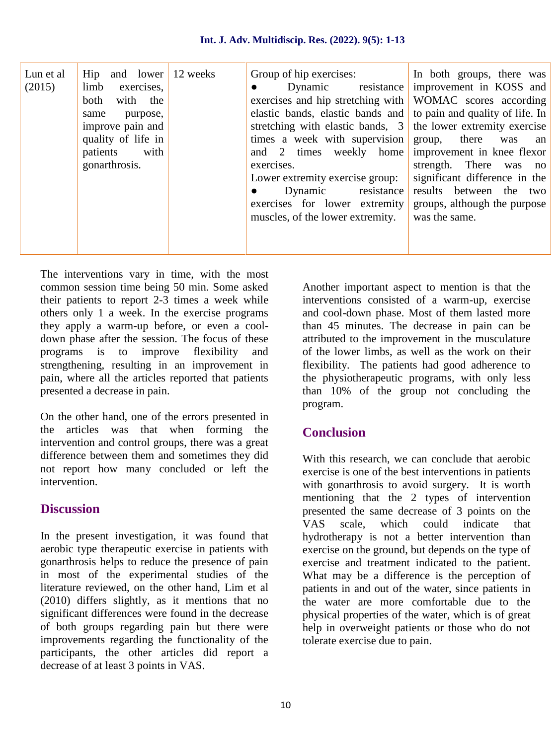| Lun et al | Hip and lower 12 weeks   | Group of hip exercises:                                              | In both groups, there was                  |
|-----------|--------------------------|----------------------------------------------------------------------|--------------------------------------------|
| (2015)    | limb<br>exercises,       |                                                                      | Dynamic resistance improvement in KOSS and |
|           | both<br>with the         | exercises and hip stretching with WOMAC scores according             |                                            |
|           | purpose,<br>same         | elastic bands, elastic bands and to pain and quality of life. In     |                                            |
|           | improve pain and $\vert$ | stretching with elastic bands, $3 \mid$ the lower extremity exercise |                                            |
|           | quality of life in       | times a week with supervision group, there was                       | an                                         |
|           | patients with            | and 2 times weekly home improvement in knee flexor                   |                                            |
|           | gonarthrosis.            | exercises.                                                           | strength. There was no                     |
|           |                          | Lower extremity exercise group:                                      | significant difference in the              |
|           |                          | Dynamic resistance                                                   | results between the two                    |
|           |                          | exercises for lower extremity                                        | groups, although the purpose               |
|           |                          | muscles, of the lower extremity.                                     | was the same.                              |
|           |                          |                                                                      |                                            |
|           |                          |                                                                      |                                            |
|           |                          |                                                                      |                                            |

The interventions vary in time, with the most common session time being 50 min. Some asked their patients to report 2-3 times a week while others only 1 a week. In the exercise programs they apply a warm-up before, or even a cool down phase after the session. The focus of these programs is to improve flexibility and strengthening, resulting in an improvement in pain, where all the articles reported that patients presented a decrease in pain.

On the other hand, one of the errors presented in the articles was that when forming the intervention and control groups, there was a great difference between them and sometimes they did not report how many concluded or left the intervention.

#### **Discussion**

In the present investigation, it was found that aerobic type therapeutic exercise in patients with gonarthrosis helps to reduce the presence of pain in most of the experimental studies of the literature reviewed, on the other hand, Lim et al (2010) differs slightly, as it mentions that no significant differences were found in the decrease of both groups regarding pain but there were improvements regarding the functionality of the participants, the other articles did report a decrease of at least 3 points in VAS.

Another important aspect to mention is that the interventions consisted of a warm-up, exercise and cool-down phase. Most of them lasted more than 45 minutes. The decrease in pain can be attributed to the improvement in the musculature of the lower limbs, as well as the work on their flexibility. The patients had good adherence to the physiotherapeutic programs, with only less than 10% of the group not concluding the program.

#### **Conclusion**

With this research, we can conclude that aerobic exercise is one of the best interventions in patients with gonarthrosis to avoid surgery. It is worth mentioning that the 2 types of intervention presented the same decrease of 3 points on the VAS scale, which could indicate that hydrotherapy is not a better intervention than exercise on the ground, but depends on the type of exercise and treatment indicated to the patient. What may be a difference is the perception of patients in and out of the water, since patients in the water are more comfortable due to the physical properties of the water, which is of great help in overweight patients or those who do not tolerate exercise due to pain.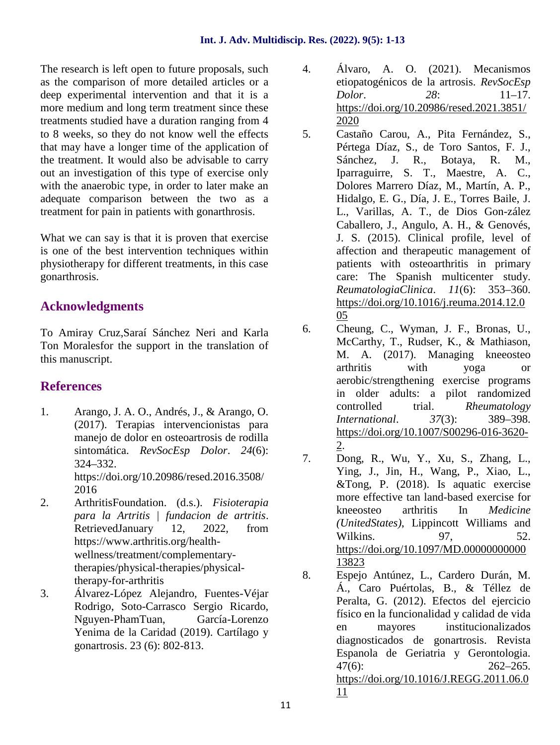The research is left open to future proposals, such  $\frac{4}{100}$ . as the comparison of more detailed articles or a deep experimental intervention and that it is a more medium and long term treatment since these treatments studied have a duration ranging from 4 to 8 weeks, so they do not know well the effects that may have a longer time of the application of the treatment. It would also be advisable to carry out an investigation of this type of exercise only with the anaerobic type, in order to later make an adequate comparison between the two as a treatment for pain in patients with gonarthrosis.

What we can say is that it is proven that exercise is one of the best intervention techniques within physiotherapy for different treatments, in this case gonarthrosis.

#### **Acknowledgments**

To Amiray Cruz,Saraí Sánchez Neri and Karla Ton Moralesfor the support in the translation of this manuscript.

### **References**

- 1. Arango, J. A. O., Andrés, J., & Arango, O. (2017). Terapias intervencionistas para manejo de dolor en osteoartrosis de rodilla sintomática. *RevSocEsp Dolor*. *24*(6): 324–332. https://doi.org/10.20986/resed.2016.3508/ 2016
- 2. ArthritisFoundation. (d.s.). *Fisioterapia para la Artritis | fundacion de artritis*. RetrievedJanuary 12, 2022, from https://www.arthritis.org/health wellness/treatment/complementarytherapies/physical-therapies/physicaltherapy-for-arthritis
- 3. Álvarez-López Alejandro, Fuentes-Véjar Rodrigo, Soto-Carrasco Sergio Ricardo, Nguyen-PhamTuan, García-Lorenzo Yenima de la Caridad (2019). Cartílago y gonartrosis. 23 (6): 802-813.
- 4. Álvaro, A. O. (2021). Mecanismos etiopatogénicos de la artrosis. *RevSocEsp Dolor*. *28*: 11–17. https://doi.org/10.20986/resed.2021.3851/ 2020
- 5. Castaño Carou, A., Pita Fernández, S., Pértega Díaz, S., de Toro Santos, F. J., Sánchez, J. R., Botaya, R. M., Iparraguirre, S. T., Maestre, A. C., Dolores Marrero Díaz, M., Martín, A. P., Hidalgo, E. G., Día, J. E., Torres Baile, J. L., Varillas, A. T., de Dios Gon-zález Caballero, J., Angulo, A. H., & Genovés, J. S. (2015). Clinical profile, level of affection and therapeutic management of patients with osteoarthritis in primary care: The Spanish multicenter study. *ReumatologiaClinica*. *11*(6): 353–360. https://doi.org/10.1016/j.reuma.2014.12.0 05
- 6. Cheung, C., Wyman, J. F., Bronas, U., McCarthy, T., Rudser, K., & Mathiason, M. A. (2017). Managing kneeosteo arthritis with yoga or aerobic/strengthening exercise programs in older adults: a pilot randomized controlled trial. *Rheumatology International*. *37*(3): 389–398. https://doi.org/10.1007/S00296-016-3620- 2.
- 7. Dong, R., Wu, Y., Xu, S., Zhang, L., Ying, J., Jin, H., Wang, P., Xiao, L., &Tong, P. (2018). Is aquatic exercise more effective tan land-based exercise for kneeosteo arthritis In *Medicine (UnitedStates)*, Lippincott Williams and Wilkins. 97, 52. https://doi.org/10.1097/MD.00000000000 13823
- 8. Espejo Antúnez, L., Cardero Durán, M. Á., Caro Puértolas, B., & Téllez de Peralta, G. (2012). Efectos del ejercicio físico en la funcionalidad y calidad de vida en mayores institucionalizados diagnosticados de gonartrosis. Revista Espanola de Geriatria y Gerontologia. 47(6): 262–265. https://doi.org/10.1016/J.REGG.2011.06.0 11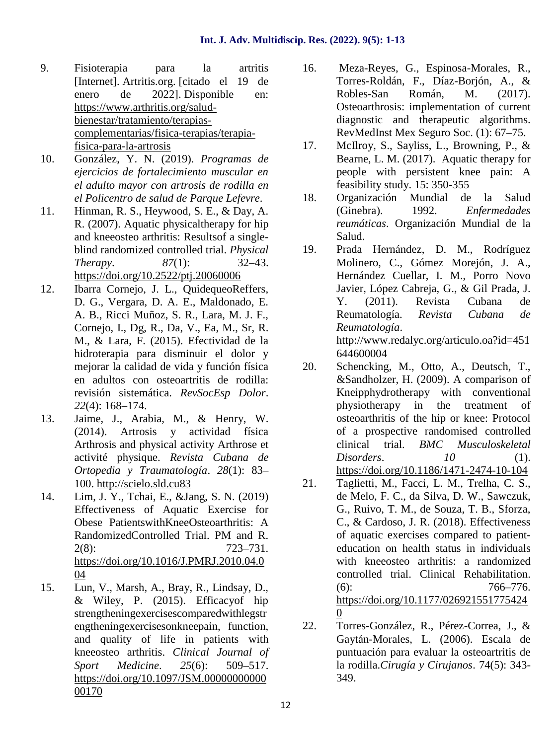- 9. Fisioterapia para la artritis [Internet]. Artritis.org. [citado el 19 de enero de 2022]. Disponible en: https://www.arthritis.org/salud bienestar/tratamiento/terapias complementarias/fisica-terapias/terapiafisica-para-la-artrosis
- 10. González, Y. N. (2019). *Programas de ejercicios de fortalecimiento muscular en el adulto mayor con artrosis de rodilla en el Policentro de salud de Parque Lefevre*.
- 11. Hinman, R. S., Heywood, S. E., & Day, A. R. (2007). Aquatic physicaltherapy for hip and kneeosteo arthritis: Resultsof a single blind randomized controlled trial. *Physical Therapy*. *87*(1): 32–43. https://doi.org/10.2522/ptj.20060006
- 12. Ibarra Cornejo, J. L., QuidequeoReffers, D. G., Vergara, D. A. E., Maldonado, E. A. B., Ricci Muñoz, S. R., Lara, M. J. F., Cornejo, I., Dg, R., Da, V., Ea, M., Sr, R. M., & Lara, F. (2015). Efectividad de la hidroterapia para disminuir el dolor y mejorar la calidad de vida y función física en adultos con osteoartritis de rodilla: revisión sistemática. *RevSocEsp Dolor*. *22*(4): 168–174.
- 13. Jaime, J., Arabia, M., & Henry, W. (2014). Artrosis y actividad física Arthrosis and physical activity Arthrose et activité physique. *Revista Cubana de Ortopedia y Traumatología*. *28*(1): 83– 100. http://scielo.sld.cu83
- 14. Lim, J. Y., Tchai, E., &Jang, S. N. (2019) Effectiveness of Aquatic Exercise for Obese PatientswithKneeOsteoarthritis: A RandomizedControlled Trial. PM and R. 2(8): 723–731. https://doi.org/10.1016/J.PMRJ.2010.04.0 04
- 15. Lun, V., Marsh, A., Bray, R., Lindsay, D., & Wiley, P. (2015). Efficacyof hip strengtheningexercisescomparedwithlegstr engtheningexercisesonkneepain, function, and quality of life in patients with kneeosteo arthritis. *Clinical Journal of Sport Medicine*. *25*(6): 509–517. https://doi.org/10.1097/JSM.00000000000 00170
- 16. Meza-Reyes, G., Espinosa-Morales, R., Torres-Roldán, F., Díaz-Borjón, A., & Robles-San Román, M. (2017). Osteoarthrosis: implementation of current diagnostic and therapeutic algorithms. RevMedInst Mex Seguro Soc. (1): 67–75.
- 17. McIlroy, S., Sayliss, L., Browning, P., & Bearne, L. M. (2017). Aquatic therapy for people with persistent knee pain: A feasibility study. 15: 350-355
- 18. Organización Mundial de la Salud (Ginebra). 1992. *Enfermedades reumáticas*. Organización Mundial de la Salud.
- 19. Prada Hernández, D. M., Rodríguez Molinero, C., Gómez Morejón, J. A., Hernández Cuellar, I. M., Porro Novo Javier, López Cabreja, G., & Gil Prada, J. Y. (2011). Revista Cubana de Reumatología. *Revista Cubana de Reumatología*. http://www.redalyc.org/articulo.oa?id=451 644600004
- Schencking, M., Otto, A., Deutsch, T., &Sandholzer, H. (2009). A comparison of Kneipphydrotherapy with conventional physiotherapy in the treatment of osteoarthritis of the hip or knee: Protocol of a prospective randomised controlled clinical trial. *BMC Musculoskeletal Disorders*. *10* (1). https://doi.org/10.1186/1471-2474-10-104
- 21. Taglietti, M., Facci, L. M., Trelha, C. S., de Melo, F. C., da Silva, D. W., Sawczuk, G., Ruivo, T. M., de Souza, T. B., Sforza, C., & Cardoso, J. R. (2018). Effectiveness of aquatic exercises compared to patient education on health status in individuals with kneeosteo arthritis: a randomized controlled trial. Clinical Rehabilitation. (6): 766–776. https://doi.org/10.1177/026921551775424 0
- 22. Torres-González, R., Pérez-Correa, J., & Gaytán-Morales, L. (2006). Escala de puntuación para evaluar la osteoartritis de la rodilla.*Cirugía y Cirujanos*. 74(5): 343- 349.